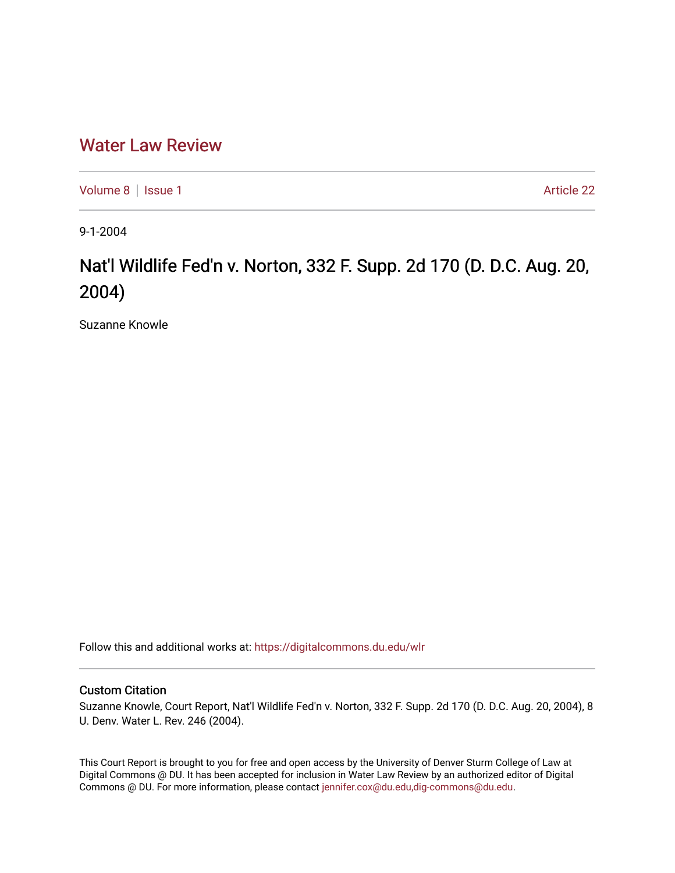## [Water Law Review](https://digitalcommons.du.edu/wlr)

[Volume 8](https://digitalcommons.du.edu/wlr/vol8) | [Issue 1](https://digitalcommons.du.edu/wlr/vol8/iss1) Article 22

9-1-2004

# Nat'l Wildlife Fed'n v. Norton, 332 F. Supp. 2d 170 (D. D.C. Aug. 20, 2004)

Suzanne Knowle

Follow this and additional works at: [https://digitalcommons.du.edu/wlr](https://digitalcommons.du.edu/wlr?utm_source=digitalcommons.du.edu%2Fwlr%2Fvol8%2Fiss1%2F22&utm_medium=PDF&utm_campaign=PDFCoverPages) 

### Custom Citation

Suzanne Knowle, Court Report, Nat'l Wildlife Fed'n v. Norton, 332 F. Supp. 2d 170 (D. D.C. Aug. 20, 2004), 8 U. Denv. Water L. Rev. 246 (2004).

This Court Report is brought to you for free and open access by the University of Denver Sturm College of Law at Digital Commons @ DU. It has been accepted for inclusion in Water Law Review by an authorized editor of Digital Commons @ DU. For more information, please contact [jennifer.cox@du.edu,dig-commons@du.edu.](mailto:jennifer.cox@du.edu,dig-commons@du.edu)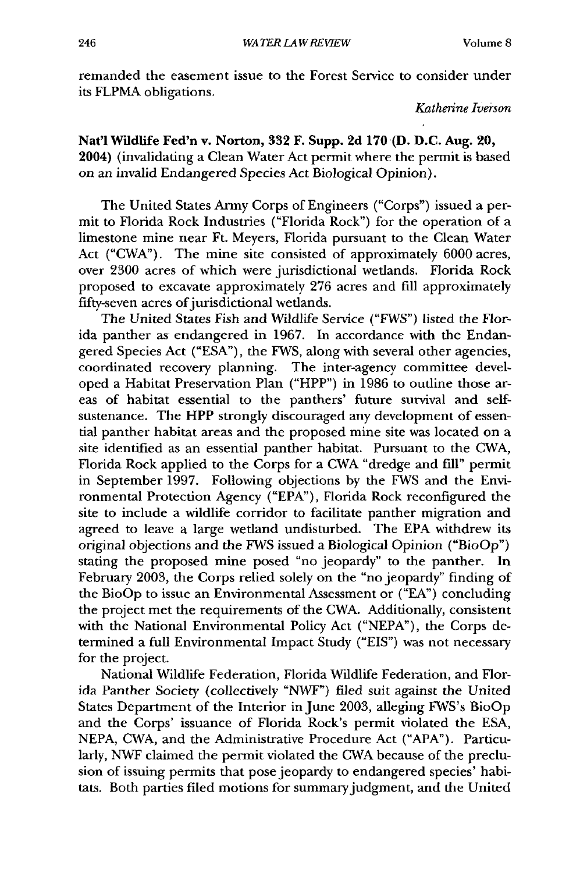remanded the easement issue to the Forest Service to consider under its FLPMA obligations.

*Katherine Iverson*

### Nat'l Wildlife Fed'n v. Norton, **332** F. Supp. **2d 170 (D. D.C. Aug. 20,** 2004) (invalidating a Clean Water Act permit where the permit is based on an invalid Endangered Species Act Biological Opinion).

The United States Army Corps of Engineers ("Corps") issued a permit to Florida Rock Industries ("Florida Rock") for the operation of a limestone mine near Ft. Meyers, Florida pursuant to the Clean Water Act ("CWA"). The mine site consisted of approximately 6000 acres, over 2300 acres of which were jurisdictional wetlands. Florida Rock proposed to excavate approximately 276 acres and fill approximately fifty-seven acres of jurisdictional wetlands.

The United States Fish and Wildlife Service ("FWS") listed the Florida panther as endangered in 1967. In accordance with the Endangered Species Act ("ESA"), the FWS, along with several other agencies, coordinated recovery planning. The inter-agency committee developed a Habitat Preservation Plan ("HPP") in 1986 to outline those areas of habitat essential to the panthers' future survival and selfsustenance. The HPP strongly discouraged any development of essential panther habitat areas and the proposed mine site was located on a site identified as an essential panther habitat. Pursuant to the CWA, Florida Rock applied to the Corps for a CWA "dredge and fill" permit in September 1997. Following objections by the FWS and the Environmental Protection Agency ("EPA"), Florida Rock reconfigured the site to include a wildlife corridor to facilitate panther migration and agreed to leave a large wetland undisturbed. The EPA withdrew its original objections and the FWS issued a Biological Opinion ("BioOp") stating the proposed mine posed "no jeopardy" to the panther. In February 2003, the Corps relied solely on the "no jeopardy" finding of the BioOp to issue an Environmental Assessment or ("EA") concluding the project met the requirements of the CWA. Additionally, consistent with the National Environmental Policy Act ("NEPA"), the Corps determined a full Environmental Impact Study ("EIS") was not necessary for the project.

National Wildlife Federation, Florida Wildlife Federation, and Florida Panther Society (collectively "NWF") filed suit against the United States Department of the Interior in June 2003, alleging FWS's BioOp and the Corps' issuance of Florida Rock's permit violated the ESA, NEPA, CWA, and the Administrative Procedure Act ("APA"). Particularly, NWF claimed the permit violated the CWA because of the preclusion of issuing permits that pose jeopardy to endangered species' habitats. Both parties filed motions for summary judgment, and the United